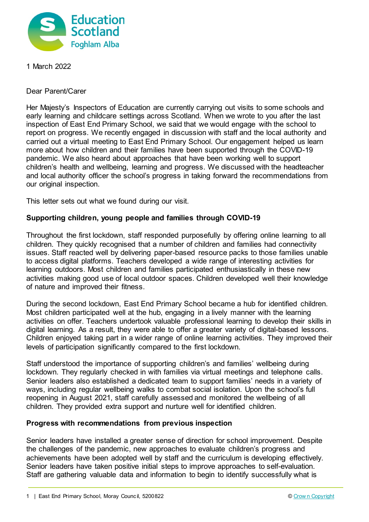

1 March 2022

Dear Parent/Carer

Her Majesty's Inspectors of Education are currently carrying out visits to some schools and early learning and childcare settings across Scotland. When we wrote to you after the last inspection of East End Primary School, we said that we would engage with the school to report on progress. We recently engaged in discussion with staff and the local authority and carried out a virtual meeting to East End Primary School. Our engagement helped us learn more about how children and their families have been supported through the COVID-19 pandemic. We also heard about approaches that have been working well to support children's health and wellbeing, learning and progress. We discussed with the headteacher and local authority officer the school's progress in taking forward the recommendations from our original inspection.

This letter sets out what we found during our visit.

## **Supporting children, young people and families through COVID-19**

Throughout the first lockdown, staff responded purposefully by offering online learning to all children. They quickly recognised that a number of children and families had connectivity issues. Staff reacted well by delivering paper-based resource packs to those families unable to access digital platforms. Teachers developed a wide range of interesting activities for learning outdoors. Most children and families participated enthusiastically in these new activities making good use of local outdoor spaces. Children developed well their knowledge of nature and improved their fitness.

During the second lockdown, East End Primary School became a hub for identified children. Most children participated well at the hub, engaging in a lively manner with the learning activities on offer. Teachers undertook valuable professional learning to develop their skills in digital learning. As a result, they were able to offer a greater variety of digital-based lessons. Children enjoyed taking part in a wider range of online learning activities. They improved their levels of participation significantly compared to the first lockdown.

Staff understood the importance of supporting children's and families' wellbeing during lockdown. They regularly checked in with families via virtual meetings and telephone calls. Senior leaders also established a dedicated team to support families' needs in a variety of ways, including regular wellbeing walks to combat social isolation. Upon the school's full reopening in August 2021, staff carefully assessed and monitored the wellbeing of all children. They provided extra support and nurture well for identified children.

## **Progress with recommendations from previous inspection**

Senior leaders have installed a greater sense of direction for school improvement. Despite the challenges of the pandemic, new approaches to evaluate children's progress and achievements have been adopted well by staff and the curriculum is developing effectively. Senior leaders have taken positive initial steps to improve approaches to self-evaluation. Staff are gathering valuable data and information to begin to identify successfully what is